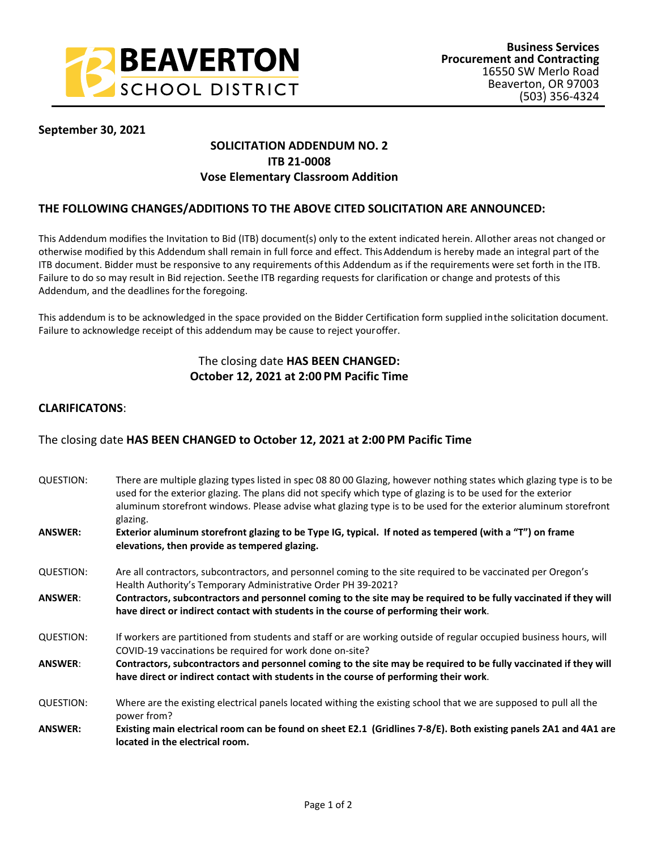

### **September 30, 2021**

# **SOLICITATION ADDENDUM NO. 2 ITB 21-0008 Vose Elementary Classroom Addition**

### **THE FOLLOWING CHANGES/ADDITIONS TO THE ABOVE CITED SOLICITATION ARE ANNOUNCED:**

This Addendum modifies the Invitation to Bid (ITB) document(s) only to the extent indicated herein. All other areas not changed or otherwise modified by this Addendum shall remain in full force and effect. This Addendum is hereby made an integral part of the ITB document. Bidder must be responsive to any requirements of this Addendum as if the requirements were set forth in the ITB. Failure to do so may result in Bid rejection. See the ITB regarding requests for clarification or change and protests of this Addendum, and the deadlines for the foregoing.

This addendum is to be acknowledged in the space provided on the Bidder Certification form supplied in the solicitation document. Failure to acknowledge receipt of this addendum may be cause to reject your offer.

## The closing date **HAS BEEN CHANGED: October 12, 2021 at 2:00 PM Pacific Time**

### **CLARIFICATONS**:

## The closing date **HAS BEEN CHANGED to October 12, 2021 at 2:00 PM Pacific Time**

| QUESTION:      | There are multiple glazing types listed in spec 08 80 00 Glazing, however nothing states which glazing type is to be<br>used for the exterior glazing. The plans did not specify which type of glazing is to be used for the exterior<br>aluminum storefront windows. Please advise what glazing type is to be used for the exterior aluminum storefront<br>glazing. |
|----------------|----------------------------------------------------------------------------------------------------------------------------------------------------------------------------------------------------------------------------------------------------------------------------------------------------------------------------------------------------------------------|
| <b>ANSWER:</b> | Exterior aluminum storefront glazing to be Type IG, typical. If noted as tempered (with a "T") on frame<br>elevations, then provide as tempered glazing.                                                                                                                                                                                                             |
| QUESTION:      | Are all contractors, subcontractors, and personnel coming to the site required to be vaccinated per Oregon's<br>Health Authority's Temporary Administrative Order PH 39-2021?                                                                                                                                                                                        |
| <b>ANSWER:</b> | Contractors, subcontractors and personnel coming to the site may be required to be fully vaccinated if they will<br>have direct or indirect contact with students in the course of performing their work.                                                                                                                                                            |
| QUESTION:      | If workers are partitioned from students and staff or are working outside of regular occupied business hours, will<br>COVID-19 vaccinations be required for work done on-site?                                                                                                                                                                                       |
| <b>ANSWER:</b> | Contractors, subcontractors and personnel coming to the site may be required to be fully vaccinated if they will<br>have direct or indirect contact with students in the course of performing their work.                                                                                                                                                            |
| QUESTION:      | Where are the existing electrical panels located withing the existing school that we are supposed to pull all the<br>power from?                                                                                                                                                                                                                                     |
| <b>ANSWER:</b> | Existing main electrical room can be found on sheet E2.1 (Gridlines 7-8/E). Both existing panels 2A1 and 4A1 are<br>located in the electrical room.                                                                                                                                                                                                                  |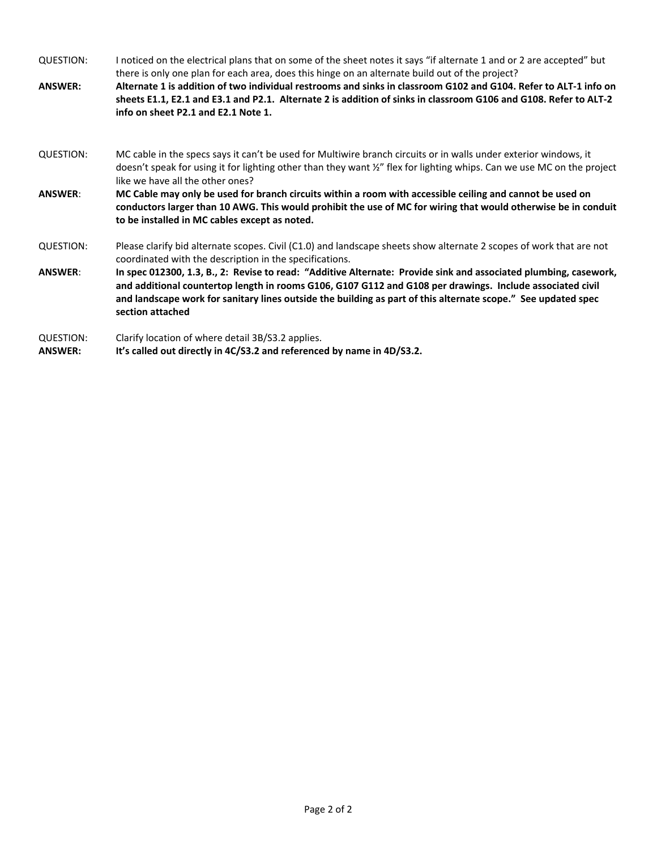QUESTION: I noticed on the electrical plans that on some of the sheet notes it says "if alternate 1 and or 2 are accepted" but there is only one plan for each area, does this hinge on an alternate build out of the project? **ANSWER: Alternate 1 is addition of two individual restrooms and sinks in classroom G102 and G104. Refer to ALT-1 info on sheets E1.1, E2.1 and E3.1 and P2.1. Alternate 2 is addition of sinks in classroom G106 and G108. Refer to ALT-2 info on sheet P2.1 and E2.1 Note 1.** QUESTION: MC cable in the specs says it can't be used for Multiwire branch circuits or in walls under exterior windows, it doesn't speak for using it for lighting other than they want ½" flex for lighting whips. Can we use MC on the project like we have all the other ones? **ANSWER**: **MC Cable may only be used for branch circuits within a room with accessible ceiling and cannot be used on conductors larger than 10 AWG. This would prohibit the use of MC for wiring that would otherwise be in conduit to be installed in MC cables except as noted.** QUESTION: Please clarify bid alternate scopes. Civil (C1.0) and landscape sheets show alternate 2 scopes of work that are not coordinated with the description in the specifications. **ANSWER**: **In spec 012300, 1.3, B., 2: Revise to read: "Additive Alternate: Provide sink and associated plumbing, casework, and additional countertop length in rooms G106, G107 G112 and G108 per drawings. Include associated civil and landscape work for sanitary lines outside the building as part of this alternate scope." See updated spec section attached** QUESTION: Clarify location of where detail 3B/S3.2 applies. **ANSWER: It's called out directly in 4C/S3.2 and referenced by name in 4D/S3.2.**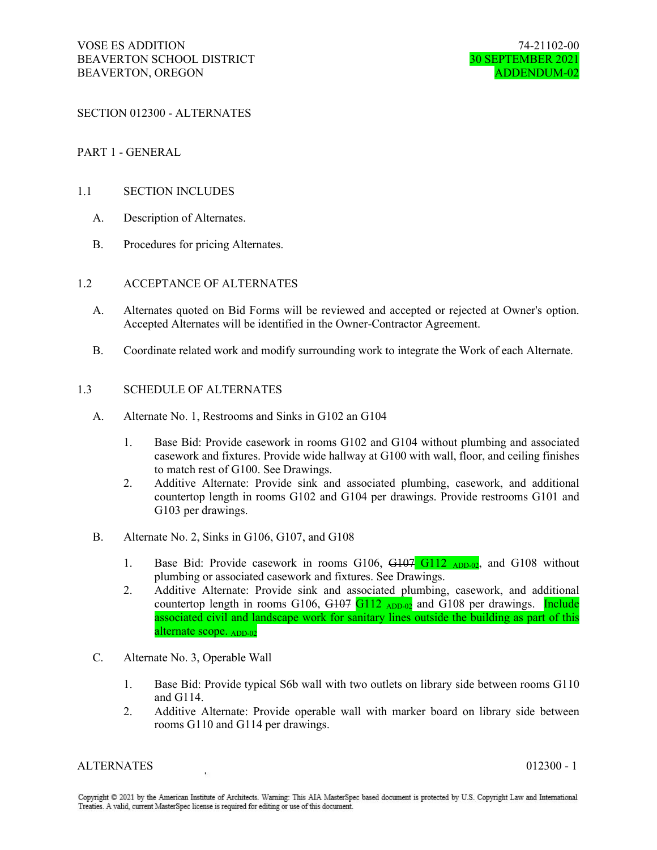SECTION 012300 - ALTERNATES

#### PART 1 - GENERAL

#### 1.1 SECTION INCLUDES

- A. Description of Alternates.
- B. Procedures for pricing Alternates.

#### 1.2 ACCEPTANCE OF ALTERNATES

- A. Alternates quoted on Bid Forms will be reviewed and accepted or rejected at Owner's option. Accepted Alternates will be identified in the Owner-Contractor Agreement.
- B. Coordinate related work and modify surrounding work to integrate the Work of each Alternate.

#### 1.3 SCHEDULE OF ALTERNATES

- A. Alternate No. 1, Restrooms and Sinks in G102 an G104
	- 1. Base Bid: Provide casework in rooms G102 and G104 without plumbing and associated casework and fixtures. Provide wide hallway at G100 with wall, floor, and ceiling finishes to match rest of G100. See Drawings.
	- 2. Additive Alternate: Provide sink and associated plumbing, casework, and additional countertop length in rooms G102 and G104 per drawings. Provide restrooms G101 and G103 per drawings.
- B. Alternate No. 2, Sinks in G106, G107, and G108
	- 1. Base Bid: Provide casework in rooms G106, G107 G112 ADD-02, and G108 without plumbing or associated casework and fixtures. See Drawings.
	- 2. Additive Alternate: Provide sink and associated plumbing, casework, and additional countertop length in rooms G106, G107 G112  $_{ADD-02}$  and G108 per drawings. Include associated civil and landscape work for sanitary lines outside the building as part of this alternate scope. ADD-02
- C. Alternate No. 3, Operable Wall
	- 1. Base Bid: Provide typical S6b wall with two outlets on library side between rooms G110 and G114.
	- 2. Additive Alternate: Provide operable wall with marker board on library side between rooms G110 and G114 per drawings.

#### ALTERNATES 012300 - 1